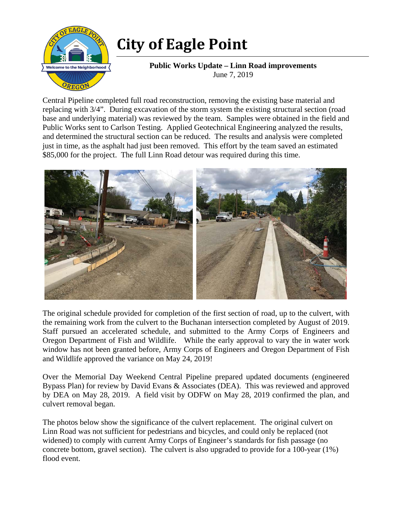

**City of Eagle Point**

**Public Works Update – Linn Road improvements**  June 7, 2019

Central Pipeline completed full road reconstruction, removing the existing base material and replacing with 3/4". During excavation of the storm system the existing structural section (road base and underlying material) was reviewed by the team. Samples were obtained in the field and Public Works sent to Carlson Testing. Applied Geotechnical Engineering analyzed the results, and determined the structural section can be reduced. The results and analysis were completed just in time, as the asphalt had just been removed. This effort by the team saved an estimated \$85,000 for the project. The full Linn Road detour was required during this time.



The original schedule provided for completion of the first section of road, up to the culvert, with the remaining work from the culvert to the Buchanan intersection completed by August of 2019. Staff pursued an accelerated schedule, and submitted to the Army Corps of Engineers and Oregon Department of Fish and Wildlife. While the early approval to vary the in water work window has not been granted before, Army Corps of Engineers and Oregon Department of Fish and Wildlife approved the variance on May 24, 2019!

Over the Memorial Day Weekend Central Pipeline prepared updated documents (engineered Bypass Plan) for review by David Evans & Associates (DEA). This was reviewed and approved by DEA on May 28, 2019. A field visit by ODFW on May 28, 2019 confirmed the plan, and culvert removal began.

The photos below show the significance of the culvert replacement. The original culvert on Linn Road was not sufficient for pedestrians and bicycles, and could only be replaced (not widened) to comply with current Army Corps of Engineer's standards for fish passage (no concrete bottom, gravel section). The culvert is also upgraded to provide for a 100-year (1%) flood event.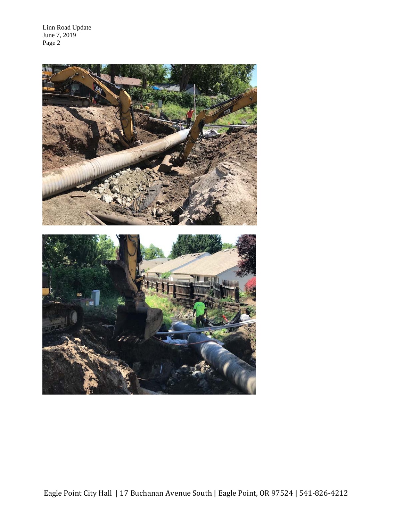Linn Road Update June 7, 2019 Page 2

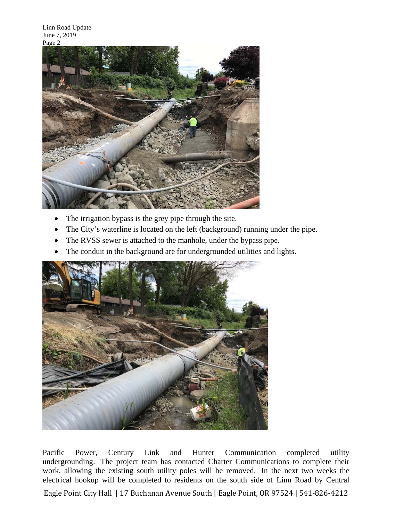Linn Road Update June 7, 2019 Page 2



- The irrigation bypass is the grey pipe through the site.
- The City's waterline is located on the left (background) running under the pipe.
- The RVSS sewer is attached to the manhole, under the bypass pipe.
- The conduit in the background are for undergrounded utilities and lights.



Pacific Power, Century Link and Hunter Communication completed utility undergrounding. The project team has contacted Charter Communications to complete their work, allowing the existing south utility poles will be removed. In the next two weeks the electrical hookup will be completed to residents on the south side of Linn Road by Central

Eagle Point City Hall | 17 Buchanan Avenue South | Eagle Point, OR 97524 | 541-826-4212